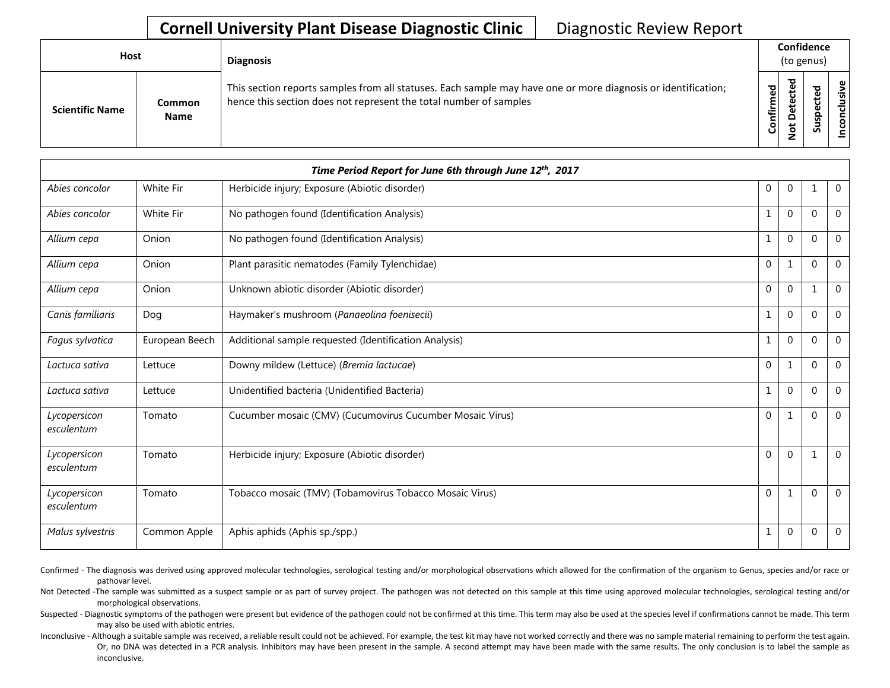## **Cornell University Plant Disease Diagnostic Clinic** | Diagnostic Review Report

| Host                   |                       | <b>Diagnosis</b>                                                                                                                                                                   |           | Confidence<br>(to genus) |        |                       |
|------------------------|-----------------------|------------------------------------------------------------------------------------------------------------------------------------------------------------------------------------|-----------|--------------------------|--------|-----------------------|
| <b>Scientific Name</b> | Common<br><b>Name</b> | This section reports samples from all statuses. Each sample may have one or more diagnosis or identification;<br>hence this section does not represent the total number of samples | Confirmed | ъ<br>Δ                   | s<br>n | usive<br>᠊ᠣ<br>c<br>g |

|                            |                  | Time Period Report for June 6th through June 12th, 2017   |                  |              |              |                |
|----------------------------|------------------|-----------------------------------------------------------|------------------|--------------|--------------|----------------|
| Abies concolor             | White Fir        | Herbicide injury; Exposure (Abiotic disorder)             | $\boldsymbol{0}$ | $\pmb{0}$    | 1            | $\mathbf 0$    |
| Abies concolor             | <b>White Fir</b> | No pathogen found (Identification Analysis)               | $\mathbf{1}$     | $\mathbf 0$  | $\Omega$     | $\overline{0}$ |
| Allium cepa                | Onion            | No pathogen found (Identification Analysis)               | $\mathbf 1$      | $\mathbf{0}$ | $\Omega$     | $\overline{0}$ |
| Allium cepa                | Onion            | Plant parasitic nematodes (Family Tylenchidae)            | $\mathbf 0$      | $\mathbf{1}$ | $\mathbf{0}$ | $\mathbf 0$    |
| Allium cepa                | Onion            | Unknown abiotic disorder (Abiotic disorder)               | $\mathbf{0}$     | $\mathbf{0}$ | $\mathbf{1}$ | $\mathbf 0$    |
| Canis familiaris           | Dog              | Haymaker's mushroom (Panaeolina foenisecii)               | $\mathbf{1}$     | $\mathbf 0$  | $\mathbf{0}$ | $\mathbf 0$    |
| Fagus sylvatica            | European Beech   | Additional sample requested (Identification Analysis)     | $\mathbf 1$      | 0            | $\Omega$     | $\overline{0}$ |
| Lactuca sativa             | Lettuce          | Downy mildew (Lettuce) (Bremia lactucae)                  | $\mathbf 0$      | $\mathbf{1}$ | $\mathbf{0}$ | $\overline{0}$ |
| Lactuca sativa             | Lettuce          | Unidentified bacteria (Unidentified Bacteria)             | $\mathbf{1}$     | $\Omega$     | $\Omega$     | $\Omega$       |
| Lycopersicon<br>esculentum | Tomato           | Cucumber mosaic (CMV) (Cucumovirus Cucumber Mosaic Virus) | $\mathbf 0$      | $\mathbf{1}$ | $\Omega$     | $\Omega$       |
| Lycopersicon<br>esculentum | Tomato           | Herbicide injury; Exposure (Abiotic disorder)             | $\mathbf 0$      | $\mathbf{0}$ | $\mathbf{1}$ | $\mathbf 0$    |
| Lycopersicon<br>esculentum | Tomato           | Tobacco mosaic (TMV) (Tobamovirus Tobacco Mosaic Virus)   | $\mathbf 0$      | $\mathbf{1}$ | $\mathbf{0}$ | $\Omega$       |
| Malus sylvestris           | Common Apple     | Aphis aphids (Aphis sp./spp.)                             | $\mathbf{1}$     | $\mathbf 0$  | 0            | $\mathbf 0$    |

Confirmed - The diagnosis was derived using approved molecular technologies, serological testing and/or morphological observations which allowed for the confirmation of the organism to Genus, species and/or race or pathovar level.

Not Detected -The sample was submitted as a suspect sample or as part of survey project. The pathogen was not detected on this sample at this time using approved molecular technologies, serological testing and/or morphological observations.

Suspected - Diagnostic symptoms of the pathogen were present but evidence of the pathogen could not be confirmed at this time. This term may also be used at the species level if confirmations cannot be made. This term may also be used with abiotic entries.

Inconclusive - Although a suitable sample was received, a reliable result could not be achieved. For example, the test kit may have not worked correctly and there was no sample material remaining to perform the test again. Or, no DNA was detected in a PCR analysis. Inhibitors may have been present in the sample. A second attempt may have been made with the same results. The only conclusion is to label the sample as inconclusive.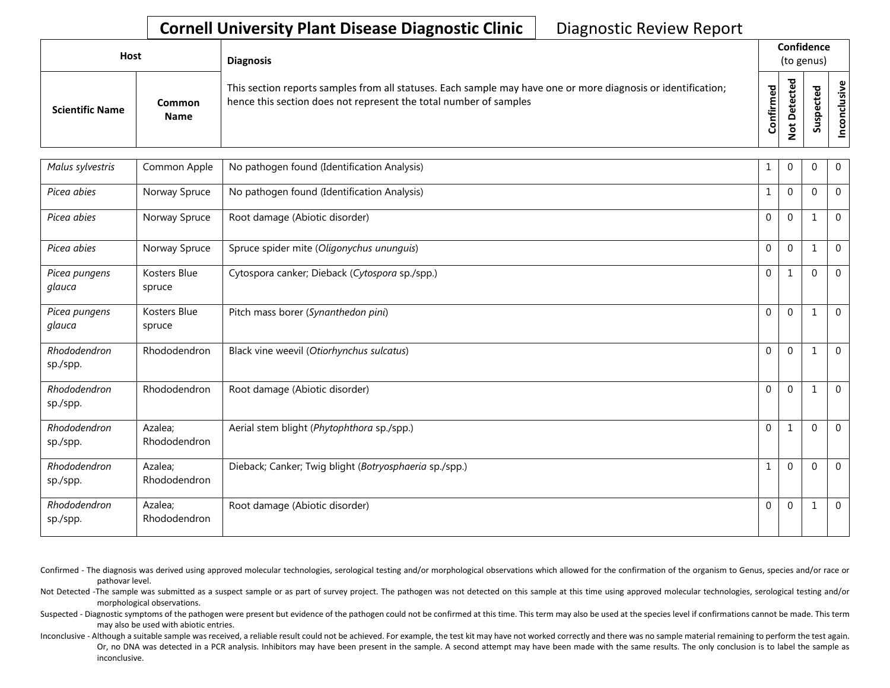## **Cornell University Plant Disease Diagnostic Clinic** | Diagnostic Review Report

| Host                   |                              | <b>Diagnosis</b>                                                                                                                                                                   |                               | Confidence<br>(to genus) |                       |              |
|------------------------|------------------------------|------------------------------------------------------------------------------------------------------------------------------------------------------------------------------------|-------------------------------|--------------------------|-----------------------|--------------|
| <b>Scientific Name</b> | <b>Common</b><br><b>Name</b> | This section reports samples from all statuses. Each sample may have one or more diagnosis or identification;<br>hence this section does not represent the total number of samples | ਠ<br>ω<br><b>onfirm</b><br>٥۱ | ъ<br>$\Omega$<br>⇁       | ω<br>o<br>௨<br>s<br>n | υ١<br>g<br>۰ |

| Malus sylvestris         | Common Apple            | No pathogen found (Identification Analysis)            | 1            | 0            | 0            | $\overline{0}$ |
|--------------------------|-------------------------|--------------------------------------------------------|--------------|--------------|--------------|----------------|
| Picea abies              | Norway Spruce           | No pathogen found (Identification Analysis)            | $\mathbf{1}$ | $\mathbf{0}$ | $\Omega$     | $\mathbf 0$    |
| Picea abies              | Norway Spruce           | Root damage (Abiotic disorder)                         | $\Omega$     | $\mathbf{0}$ | $\mathbf{1}$ | $\Omega$       |
| Picea abies              | Norway Spruce           | Spruce spider mite (Oligonychus ununguis)              | $\mathbf 0$  | $\mathbf 0$  | $\mathbf{1}$ | $\overline{0}$ |
| Picea pungens<br>glauca  | Kosters Blue<br>spruce  | Cytospora canker; Dieback (Cytospora sp./spp.)         | $\mathbf 0$  | $\mathbf{1}$ | $\mathbf{0}$ | $\Omega$       |
| Picea pungens<br>glauca  | Kosters Blue<br>spruce  | Pitch mass borer (Synanthedon pini)                    | $\mathbf 0$  | $\Omega$     | 1            | $\mathbf 0$    |
| Rhododendron<br>sp./spp. | Rhododendron            | Black vine weevil (Otiorhynchus sulcatus)              | $\Omega$     | $\Omega$     | 1            | $\Omega$       |
| Rhododendron<br>sp./spp. | Rhododendron            | Root damage (Abiotic disorder)                         | $\Omega$     | $\Omega$     | $\mathbf{1}$ | $\mathbf 0$    |
| Rhododendron<br>sp./spp. | Azalea;<br>Rhododendron | Aerial stem blight (Phytophthora sp./spp.)             | $\Omega$     | $\mathbf{1}$ | $\mathbf{0}$ | $\Omega$       |
| Rhododendron<br>sp./spp. | Azalea:<br>Rhododendron | Dieback; Canker; Twig blight (Botryosphaeria sp./spp.) | $\mathbf{1}$ | $\Omega$     | $\mathbf{0}$ | $\Omega$       |
| Rhododendron<br>sp./spp. | Azalea;<br>Rhododendron | Root damage (Abiotic disorder)                         | $\Omega$     | $\mathbf 0$  | -1           | $\mathbf 0$    |

Confirmed - The diagnosis was derived using approved molecular technologies, serological testing and/or morphological observations which allowed for the confirmation of the organism to Genus, species and/or race or pathovar level.

Not Detected -The sample was submitted as a suspect sample or as part of survey project. The pathogen was not detected on this sample at this time using approved molecular technologies, serological testing and/or morphological observations.

Suspected - Diagnostic symptoms of the pathogen were present but evidence of the pathogen could not be confirmed at this time. This term may also be used at the species level if confirmations cannot be made. This term may also be used with abiotic entries.

Inconclusive - Although a suitable sample was received, a reliable result could not be achieved. For example, the test kit may have not worked correctly and there was no sample material remaining to perform the test again. Or, no DNA was detected in a PCR analysis. Inhibitors may have been present in the sample. A second attempt may have been made with the same results. The only conclusion is to label the sample as inconclusive.